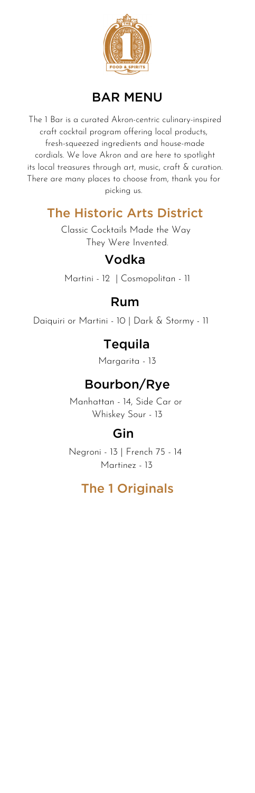

#### BAR MENU

The 1 Bar is a curated Akron-centric culinary-inspired craft cocktail program offering local products, fresh-squeezed ingredients and house-made cordials. We love Akron and are here to spotlight its local treasures through art, music, craft & curation. There are many places to choose from, thank you for picking us.

#### The Historic Arts District

Classic Cocktails Made the Way They Were Invented.

### Vodka

Martini - 12 | Cosmopolitan - 11

#### Rum

Daiquiri or Martini - 10 | Dark & Stormy - 11

#### Tequila

Margarita - 13

## Bourbon/Rye

Manhattan - 14, Side Car or Whiskey Sour - 13

### Gin

Negroni - 13 | French 75 - 14 Martinez - 13

#### The 1 Originals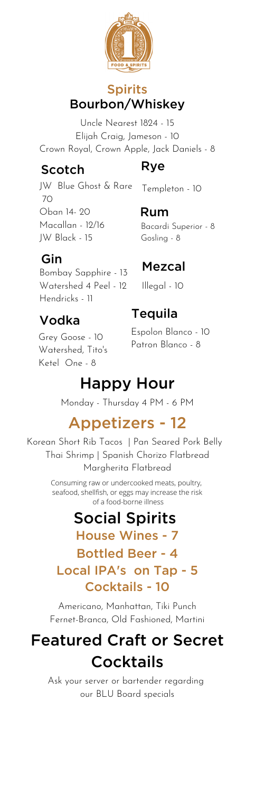

#### Spirits Bourbon/Whiskey

Uncle Nearest 1824 - 15 Elijah Craig, Jameson - 10 Crown Royal, Crown Apple, Jack Daniels - 8

#### Scotch

## Rye

Templeton - 10

JW Blue Ghost & Rare  $70$ Oban 14- 20 Macallan - 12/16 JW Black - 15

### Gin

Bombay Sapphire - 13 Watershed 4 Peel - 12 Hendricks - 11

# Vodka

Grey Goose - 10 Watershed, Tito's Ketel One - 8

Rum Bacardi Superior - 8 Gosling - 8

## Mezcal

Illegal - 10

## Tequila

Espolon Blanco - 10 Patron Blanco - 8

# Happy Hour

Monday - Thursday 4 PM - 6 PM

# Appetizers - 12

Korean Short Rib Tacos | Pan Seared Pork Belly Thai Shrimp | Spanish Chorizo Flatbread Margherita Flatbread

> Consuming raw or undercooked meats, poultry, seafood, shellfish, or eggs may increase the risk of a food-borne illness

# Social Spirits

House Wines - 7 Bottled Beer - 4 Local IPA's on Tap - 5

# Cocktails - 10

Americano, Manhattan, Tiki Punch Fernet-Branca, Old Fashioned, Martini

# Featured Craft or Secret **Cocktails**

Ask your server or bartender regarding our BLU Board specials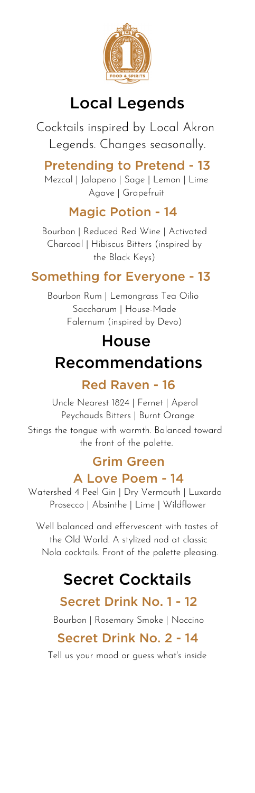

# Local Legends

Cocktails inspired by Local Akron Legends. Changes seasonally.

Pretending to Pretend - 13 Mezcal | Jalapeno | Sage | Lemon | Lime Agave | Grapefruit

## Magic Potion - 14

Bourbon | Reduced Red Wine | Activated Charcoal | Hibiscus Bitters (inspired by the Black Keys)

## Something for Everyone - 13

Bourbon Rum | Lemongrass Tea Oilio Saccharum | House-Made Falernum (inspired by Devo)

## **House**

# Recommendations

#### Red Raven - 16

Uncle Nearest 1824 | Fernet | Aperol Peychauds Bitters | Burnt Orange Stings the tongue with warmth. Balanced toward the front of the palette.

#### Grim Green A Love Poem - 14

Watershed 4 Peel Gin | Dry Vermouth | Luxardo Prosecco | Absinthe | Lime | Wildflower

Well balanced and effervescent with tastes of the Old World. A stylized nod at classic Nola cocktails. Front of the palette pleasing.

# Secret Cocktails

## Secret Drink No. 1 - 12

Bourbon | Rosemary Smoke | Noccino

## Secret Drink No. 2 - 14

Tell us your mood or guess what's inside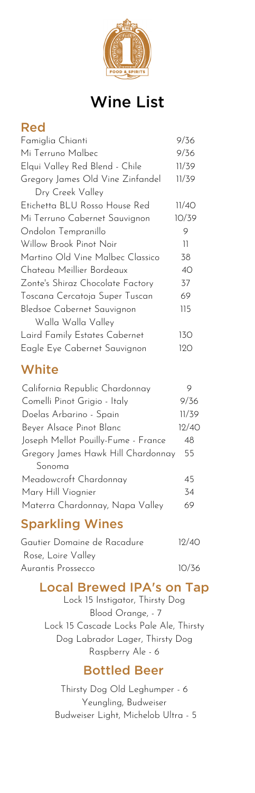

# Wine List

#### Red

| Famiglia Chianti                 | 9/36          |
|----------------------------------|---------------|
| Mi Terruno Malbec                | 9/36          |
| Elqui Valley Red Blend - Chile   | 11/39         |
| Gregory James Old Vine Zinfandel | 11/39         |
| Dry Creek Valley                 |               |
| Etichetta BLU Rosso House Red    | 11/40         |
| Mi Terruno Cabernet Sauvignon    | 10/39         |
| Ondolon Tempranillo              | 9             |
| Willow Brook Pinot Noir          | $\mathcal{I}$ |
| Martino Old Vine Malbec Classico | 38            |
| Chateau Meillier Bordeaux        | 40            |
| Zonte's Shiraz Chocolate Factory | 37            |
| Toscana Cercatoja Super Tuscan   | 69            |
| Bledsoe Cabernet Sauvignon       | 115           |
| Walla Walla Valley               |               |
| Laird Family Estates Cabernet    | 130           |
| Eagle Eye Cabernet Sauvignon     | 120           |

#### **White**

| California Republic Chardonnay      |       |
|-------------------------------------|-------|
| Comelli Pinot Grigio - Italy        | 9/36  |
| Doelas Arbarino - Spain             | 11/39 |
| Beyer Alsace Pinot Blanc            | 12/40 |
| Joseph Mellot Pouilly-Fume - France | 48    |
| Gregory James Hawk Hill Chardonnay  | 55    |
| Sonoma                              |       |
| Meadowcroft Chardonnay              | 45    |
| Mary Hill Viognier                  | 34    |
| Materra Chardonnay, Napa Valley     | 69    |
|                                     |       |

#### Sparkling Wines

| Gautier Domaine de Racadure | 12/40 |
|-----------------------------|-------|
| Rose, Loire Valley          |       |
| Aurantis Prossecco          | 10/36 |

#### Local Brewed IPA's on Tap

Lock 15 Instigator, Thirsty Dog Blood Orange, - 7 Lock 15 Cascade Locks Pale Ale, Thirsty Dog Labrador Lager, Thirsty Dog Raspberry Ale - 6

#### Bottled Beer

Thirsty Dog Old Leghumper - 6 Yeungling, Budweiser Budweiser Light, Michelob Ultra - 5